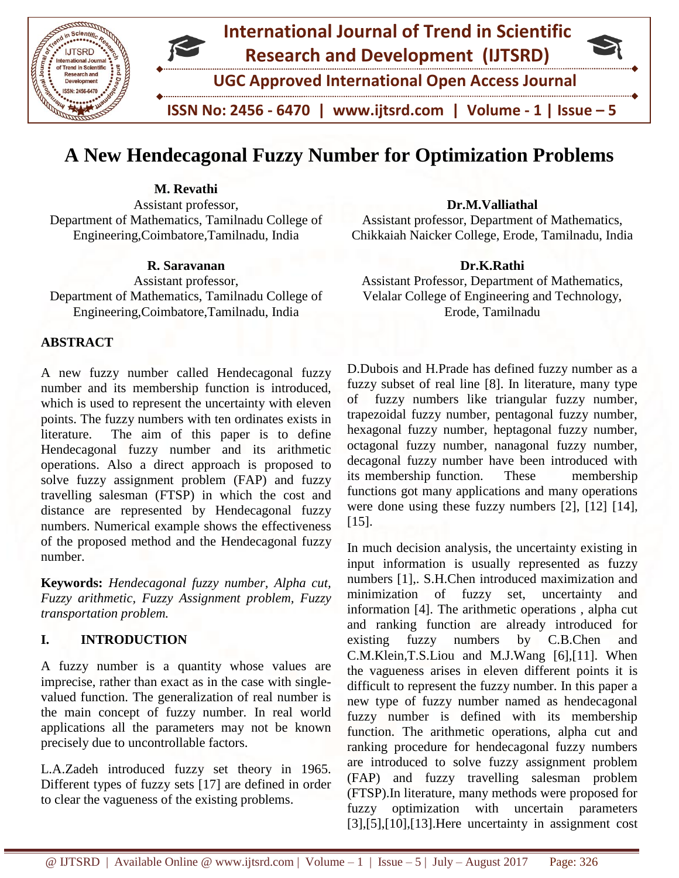

# **A New Hendecagonal Fuzzy Number for Optimization Problems**

**M. Revathi** Assistant professor, Department of Mathematics, Tamilnadu College of Engineering,Coimbatore,Tamilnadu, India

**R. Saravanan**

Assistant professor, Department of Mathematics, Tamilnadu College of Engineering,Coimbatore,Tamilnadu, India

# **ABSTRACT**

A new fuzzy number called Hendecagonal fuzzy number and its membership function is introduced, which is used to represent the uncertainty with eleven points. The fuzzy numbers with ten ordinates exists in literature. The aim of this paper is to define Hendecagonal fuzzy number and its arithmetic operations. Also a direct approach is proposed to solve fuzzy assignment problem (FAP) and fuzzy travelling salesman (FTSP) in which the cost and distance are represented by Hendecagonal fuzzy numbers. Numerical example shows the effectiveness of the proposed method and the Hendecagonal fuzzy number.

**Keywords:** *Hendecagonal fuzzy number, Alpha cut, Fuzzy arithmetic, Fuzzy Assignment problem, Fuzzy transportation problem.*

# **I. INTRODUCTION**

A fuzzy number is a quantity whose values are imprecise, rather than exact as in the case with singlevalued function. The generalization of real number is the main concept of fuzzy number. In real world applications all the parameters may not be known precisely due to uncontrollable factors.

L.A.Zadeh introduced fuzzy set theory in 1965. Different types of fuzzy sets [17] are defined in order to clear the vagueness of the existing problems.

### **Dr.M.Valliathal**

Assistant professor, Department of Mathematics, Chikkaiah Naicker College, Erode, Tamilnadu, India

#### **Dr.K.Rathi**

Assistant Professor, Department of Mathematics, Velalar College of Engineering and Technology, Erode, Tamilnadu

D.Dubois and H.Prade has defined fuzzy number as a fuzzy subset of real line [8]. In literature, many type of fuzzy numbers like triangular fuzzy number, trapezoidal fuzzy number, pentagonal fuzzy number, hexagonal fuzzy number, heptagonal fuzzy number, octagonal fuzzy number, nanagonal fuzzy number, decagonal fuzzy number have been introduced with its membership function. These membership functions got many applications and many operations were done using these fuzzy numbers [2], [12] [14], [15].

In much decision analysis, the uncertainty existing in input information is usually represented as fuzzy numbers [1],. S.H.Chen introduced maximization and minimization of fuzzy set, uncertainty and information [4]. The arithmetic operations , alpha cut and ranking function are already introduced for existing fuzzy numbers by C.B.Chen and C.M.Klein,T.S.Liou and M.J.Wang [6],[11]. When the vagueness arises in eleven different points it is difficult to represent the fuzzy number. In this paper a new type of fuzzy number named as hendecagonal fuzzy number is defined with its membership function. The arithmetic operations, alpha cut and ranking procedure for hendecagonal fuzzy numbers are introduced to solve fuzzy assignment problem (FAP) and fuzzy travelling salesman problem (FTSP).In literature, many methods were proposed for fuzzy optimization with uncertain parameters [3],[5],[10],[13].Here uncertainty in assignment cost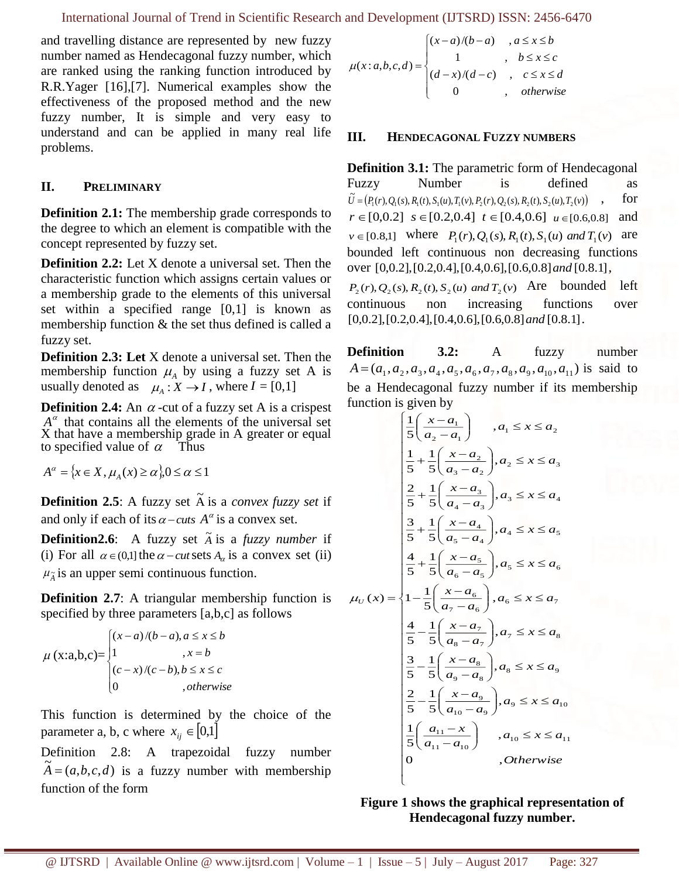and travelling distance are represented by new fuzzy number named as Hendecagonal fuzzy number, which are ranked using the ranking function introduced by R.R.Yager [16],[7]. Numerical examples show the effectiveness of the proposed method and the new fuzzy number, It is simple and very easy to understand and can be applied in many real life problems.

# **II. PRELIMINARY**

**Definition 2.1:** The membership grade corresponds to the degree to which an element is compatible with the concept represented by fuzzy set.

**Definition 2.2:** Let X denote a universal set. Then the characteristic function which assigns certain values or a membership grade to the elements of this universal set within a specified range [0,1] is known as membership function & the set thus defined is called a fuzzy set.

**Definition 2.3: Let** X denote a universal set. Then the membership function  $\mu_A$  by using a fuzzy set A is usually denoted as  $\mu_A : X \to I$ , where  $I = [0,1]$ 

**Definition 2.4:** An  $\alpha$ -cut of a fuzzy set A is a crispest  $A^{\alpha}$  that contains all the elements of the universal set X that have a membership grade in A greater or equal to specified value of  $\alpha$  Thus

 $A^{\alpha} = \{x \in X, \mu_A(x) \ge \alpha\}, 0 \le \alpha \le 1$ 

**Definition 2.5**: A fuzzy set  $\tilde{A}$  is a *convex fuzzy set* if and only if each of its  $\alpha$  – *cuts*  $A^{\alpha}$  is a convex set.

**Definition2.6**: A fuzzy set  $\tilde{A}$  is a *fuzzy number* if (i) For all  $\alpha \in (0,1]$  the  $\alpha$  - *cut* sets  $A_{\alpha}$  is a convex set (ii)  $\mu_{\tilde{A}}$  is an upper semi continuous function.

**Definition 2.7:** A triangular membership function is specified by three parameters [a,b,c] as follows

$$
\mu(x;a,b,c) = \begin{cases} (x-a)/(b-a), a \le x \le b \\ 1, & x=b \\ (c-x)/(c-b), b \le x \le c \\ 0, &, otherwise \end{cases}
$$

This function is determined by the choice of the parameter a, b, c where  $x_{ij} \in [0,1]$ 

Definition 2.8: A trapezoidal fuzzy number  $\widetilde{A} = (a, b, c, d)$  is a fuzzy number with membership function of the form

$$
\mu(x:a,b,c,d) = \begin{cases}\n(x-a)/(b-a) & , a \le x \le b \\
1 & , b \le x \le c \\
(d-x)/(d-c) & , c \le x \le d \\
0 & , otherwise\n\end{cases}
$$

#### **III. HENDECAGONAL FUZZY NUMBERS**

**Definition 3.1:** The parametric form of Hendecagonal Fuzzy Number is defined as  $\widetilde{U} = (P_1(r), Q_1(s), R_1(t), S_1(u), T_1(v), P_2(r), Q_2(s), R_2(t), S_2(u), T_2(v))$ , for  $r \in [0,0.2]$   $s \in [0.2,0.4]$   $t \in [0.4,0.6]$   $u \in [0.6,0.8]$  and  $v \in [0.8,1]$  where  $P_1(r), Q_1(s), R_1(t), S_1(u)$  and  $T_1(v)$  are bounded left continuous non decreasing functions over [0,0.2],[0.2,0.4],[0.4,0.6],[0.6,0.8]*and* [0.8.1],

 $P_2(r), Q_2(s), R_2(t), S_2(u) \text{ and } T_2(v)$  Are bounded left continuous non increasing functions over [0,0.2],[0.2,0.4],[0.4,0.6],[0.6,0.8]*and* [0.8.1].

**Definition 3.2:** A fuzzy number  $A = (a_1, a_2, a_3, a_4, a_5, a_6, a_7, a_8, a_9, a_{10}, a_{11})$  is said to be a Hendecagonal fuzzy number if its membership function is given by

$$
\begin{cases}\n\frac{1}{5}\left(\frac{x-a_1}{a_2-a_1}\right) & , a_1 \leq x \leq a_2 \\
\frac{1}{5} + \frac{1}{5}\left(\frac{x-a_2}{a_3-a_2}\right), a_2 \leq x \leq a_3 \\
\frac{2}{5} + \frac{1}{5}\left(\frac{x-a_3}{a_4-a_3}\right), a_3 \leq x \leq a_4 \\
\frac{3}{5} + \frac{1}{5}\left(\frac{x-a_4}{a_5-a_4}\right), a_4 \leq x \leq a_5 \\
\frac{4}{5} + \frac{1}{5}\left(\frac{x-a_5}{a_6-a_5}\right), a_5 \leq x \leq a_6 \\
(x) = \begin{cases}\n1 - \frac{1}{5}\left(\frac{x-a_6}{a_7-a_6}\right), a_6 \leq x \leq a_7 \\
\frac{4}{5} - \frac{1}{5}\left(\frac{x-a_7}{a_8-a_7}\right), a_7 \leq x \leq a_8 \\
\frac{3}{5} - \frac{1}{5}\left(\frac{x-a_8}{a_9-a_8}\right), a_8 \leq x \leq a_9 \\
\frac{2}{5} - \frac{1}{5}\left(\frac{x-a_9}{a_{10}-a_9}\right), a_9 \leq x \leq a_{10} \\
\frac{1}{5}\left(\frac{a_{11} - x}{a_{11} - a_{10}}\right) & , a_{10} \leq x \leq a_{11} \\
0 & , \text{Otherwise}\n\end{cases}
$$



l

 $\mu_{_U}$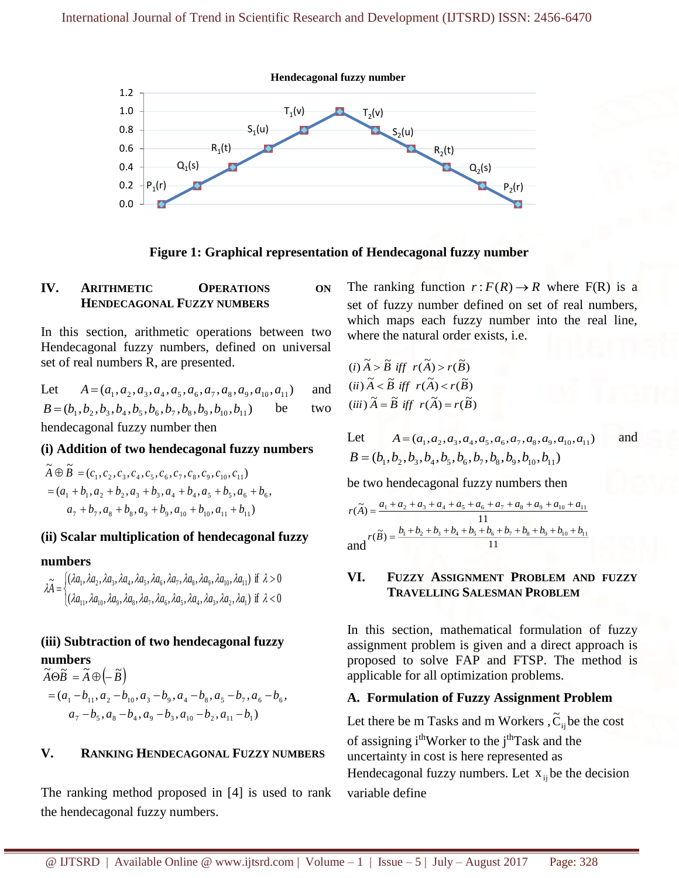

**Figure 1: Graphical representation of Hendecagonal fuzzy number**

## **IV. ARITHMETIC OPERATIONS ON HENDECAGONAL FUZZY NUMBERS**

In this section, arithmetic operations between two Hendecagonal fuzzy numbers, defined on universal set of real numbers R, are presented.

Let 
$$
A = (a_1, a_2, a_3, a_4, a_5, a_6, a_7, a_8, a_9, a_{10}, a_{11})
$$
 and  
\n $B = (b_1, b_2, b_3, b_4, b_5, b_6, b_7, b_8, b_9, b_{10}, b_{11})$  be two

hendecagonal fuzzy number then

### **(i) Addition of two hendecagonal fuzzy numbers**

$$
\widetilde{A} \oplus \widetilde{B} = (c_1, c_2, c_3, c_4, c_5, c_6, c_7, c_8, c_9, c_{10}, c_{11})
$$
  
=  $(a_1 + b_1, a_2 + b_2, a_3 + b_3, a_4 + b_4, a_5 + b_5, a_6 + b_6,$   
 $a_7 + b_7, a_8 + b_8, a_9 + b_9, a_{10} + b_{10}, a_{11} + b_{11})$ 

### **(ii) Scalar multiplication of hendecagonal fuzzy**

#### **numbers**

l( ζ, ĺ(  $<$ >۱  $\lambda \widetilde{A}=$  $( \lambda a_{11}, \lambda a_{10}, \lambda a_{9}, \lambda a_{8}, \lambda a_{7}, \lambda a_{6}, \lambda a_{5}, \lambda a_{4}, \lambda a_{3}, \lambda a_{1})$  if  $\lambda < 0$  $( \lambda a_1, \lambda a_2, \lambda a_3, \lambda a_4, \lambda a_5, \lambda a_6, \lambda a_7, \lambda a_8, \lambda a_9, \lambda a_{10}, \lambda a_{11})$  if  $\lambda > 0$  $\{11,78410,7849,7848,7847,7846,7845,7844,7843,7842,7841\}$  $_1, \mu_2, \mu_3, \mu_4, \mu_5, \mu_6, \mu_7, \mu_8, \mu_9, \mu_9, \mu_{10}, \mu_{11}$  $\lambda a_1, \lambda a_2, \lambda a_3, \lambda a_5, \lambda a_6, \lambda a_1, \lambda a_2, \lambda a_3, \lambda a_1)$  if  $\lambda$  $\lambda a_1, \lambda a_2, \lambda a_3, \lambda a_4, \lambda a_5, \lambda a_2, \lambda a_3, \lambda a_4, \lambda a_5, \lambda a_6)$  if  $\lambda$ *a a a a a a a a a a a a a a a a a a a a a a*

### **(iii) Subtraction of two hendecagonal fuzzy numbers**

$$
\tilde{A}\Theta\tilde{B} = \tilde{A}\Theta\left(-\tilde{B}\right)
$$
  
=  $(a_1 - b_{11}, a_2 - b_{10}, a_3 - b_9, a_4 - b_8, a_5 - b_7, a_6 - b_6,$   
 $a_7 - b_5, a_8 - b_4, a_9 - b_3, a_{10} - b_2, a_{11} - b_1)$ 

### **V. RANKING HENDECAGONAL FUZZY NUMBERS**

The ranking method proposed in [4] is used to rank the hendecagonal fuzzy numbers.

The ranking function  $r: F(R) \to R$  where  $F(R)$  is a set of fuzzy number defined on set of real numbers, which maps each fuzzy number into the real line, where the natural order exists, i.e.

(i) 
$$
\widetilde{A} > \widetilde{B}
$$
 iff  $r(\widetilde{A}) > r(\widetilde{B})$   
(ii)  $\widetilde{A} < \widetilde{B}$  iff  $r(\widetilde{A}) < r(\widetilde{B})$   
(iii)  $\widetilde{A} = \widetilde{B}$  iff  $r(\widetilde{A}) = r(\widetilde{B})$ 

Let 
$$
A = (a_1, a_2, a_3, a_4, a_5, a_6, a_7, a_8, a_9, a_{10}, a_{11})
$$
 and  
\n $B = (b_1, b_2, b_3, b_4, b_5, b_6, b_7, b_8, b_9, b_{10}, b_{11})$ 

be two hendecagonal fuzzy numbers then

$$
r(\widetilde{A}) = \frac{a_1 + a_2 + a_3 + a_4 + a_5 + a_6 + a_7 + a_8 + a_9 + a_{10} + a_{11}}{11}
$$
  
and 
$$
r(\widetilde{B}) = \frac{b_1 + b_2 + b_3 + b_4 + b_5 + b_6 + b_7 + b_8 + b_9 + b_{10} + b_{11}}{11}
$$

#### **VI. FUZZY ASSIGNMENT PROBLEM AND FUZZY TRAVELLING SALESMAN PROBLEM**

In this section, mathematical formulation of fuzzy assignment problem is given and a direct approach is proposed to solve FAP and FTSP. The method is applicable for all optimization problems.

### **A. Formulation of Fuzzy Assignment Problem**

Let there be m Tasks and m Workers ,  $\tilde{C}_{ij}$  be the cost

of assigning i<sup>th</sup>Worker to the j<sup>th</sup>Task and the uncertainty in cost is here represented as Hendecagonal fuzzy numbers. Let  $x_{ij}$  be the decision variable define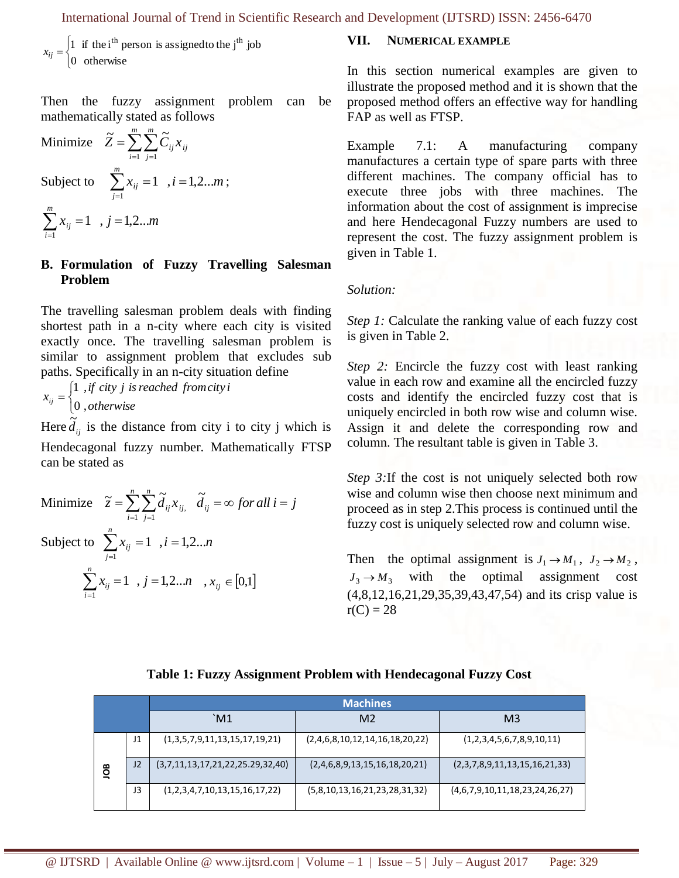$$
x_{ij} = \begin{cases} 1 & \text{if the i}^{th} \text{ person is assigned to the j}^{th} \text{ job} \\ 0 & \text{otherwise} \end{cases}
$$

#### **B. Formulation of Fuzzy Travelling Salesman Problem**

Minimize 
$$
\tilde{z} = \sum_{i=1}^{n} \sum_{j=1}^{n} \tilde{d}_{ij} x_{ij}
$$
,  $\tilde{d}_{ij} = \infty$  for all  $i = j$   
Subject to  $\sum_{j=1}^{n} x_{ij} = 1$ ,  $i = 1, 2...n$   
 $\sum_{i=1}^{n} x_{ij} = 1$ ,  $j = 1, 2...n$ ,  $x_{ij} \in [0,1]$ 

#### **VII. NUMERICAL EXAMPLE**

In this section numerical examples are given to illustrate the proposed method and it is shown that the proposed method offers an effective way for handling FAP as well as FTSP.

Example 7.1: A manufacturing company manufactures a certain type of spare parts with three different machines. The company official has to execute three jobs with three machines. The information about the cost of assignment is imprecise and here Hendecagonal Fuzzy numbers are used to represent the cost. The fuzzy assignment problem is given in Table 1.

#### *Solution:*

*Step 1:* Calculate the ranking value of each fuzzy cost is given in Table 2.

*Step 2:* Encircle the fuzzy cost with least ranking value in each row and examine all the encircled fuzzy costs and identify the encircled fuzzy cost that is uniquely encircled in both row wise and column wise. Assign it and delete the corresponding row and column. The resultant table is given in Table 3.

*Step 3:* If the cost is not uniquely selected both row wise and column wise then choose next minimum and proceed as in step 2.This process is continued until the fuzzy cost is uniquely selected row and column wise.

Then the optimal assignment is  $J_1 \rightarrow M_1$ ,  $J_2 \rightarrow M_2$ ,  $J_3 \rightarrow M_3$  with the optimal assignment cost (4,8,12,16,21,29,35,39,43,47,54) and its crisp value is  $r(C) = 28$ 

#### **Table 1: Fuzzy Assignment Problem with Hendecagonal Fuzzy Cost**

| $\begin{vmatrix} v_{ij} \\ 0 \end{vmatrix}$ otherwise<br>Then the fuzzy assignment                                                                                                                                                                                                                                                                                                          |    |  | problem                              | can | be                                                                                                                                                                                                    |                                                                                                                                                                                                                                                                                                                                                                                        | In this section numerical examples are gi<br>illustrate the proposed method and it is shown<br>proposed method offers an effective way for h |  |
|---------------------------------------------------------------------------------------------------------------------------------------------------------------------------------------------------------------------------------------------------------------------------------------------------------------------------------------------------------------------------------------------|----|--|--------------------------------------|-----|-------------------------------------------------------------------------------------------------------------------------------------------------------------------------------------------------------|----------------------------------------------------------------------------------------------------------------------------------------------------------------------------------------------------------------------------------------------------------------------------------------------------------------------------------------------------------------------------------------|----------------------------------------------------------------------------------------------------------------------------------------------|--|
| nathematically stated as follows                                                                                                                                                                                                                                                                                                                                                            |    |  |                                      |     |                                                                                                                                                                                                       | FAP as well as FTSP.                                                                                                                                                                                                                                                                                                                                                                   |                                                                                                                                              |  |
| <i>Minimize</i> $\widetilde{Z} = \sum_{i=1}^{m} \sum_{j=1}^{m} \widetilde{C}_{ij} x_{ij}$                                                                                                                                                                                                                                                                                                   |    |  |                                      |     |                                                                                                                                                                                                       | Example 7.1: A manufacturing co<br>manufactures a certain type of spare parts with                                                                                                                                                                                                                                                                                                     |                                                                                                                                              |  |
| Subject to $\sum_{i=1}^{m} x_{ij} = 1$ , $i = 1, 2m$ ;                                                                                                                                                                                                                                                                                                                                      |    |  |                                      |     |                                                                                                                                                                                                       | different machines. The company official<br>execute three jobs with three machines                                                                                                                                                                                                                                                                                                     |                                                                                                                                              |  |
| $\sum_{i=1}^{m} x_{ij} = 1$ , $j = 1,2m$                                                                                                                                                                                                                                                                                                                                                    |    |  |                                      |     |                                                                                                                                                                                                       | information about the cost of assignment is in<br>and here Hendecagonal Fuzzy numbers are<br>represent the cost. The fuzzy assignment pro                                                                                                                                                                                                                                              |                                                                                                                                              |  |
| 3. Formulation of Fuzzy Travelling Salesman                                                                                                                                                                                                                                                                                                                                                 |    |  |                                      |     |                                                                                                                                                                                                       | given in Table 1.                                                                                                                                                                                                                                                                                                                                                                      |                                                                                                                                              |  |
| Problem                                                                                                                                                                                                                                                                                                                                                                                     |    |  |                                      |     |                                                                                                                                                                                                       | Solution:                                                                                                                                                                                                                                                                                                                                                                              |                                                                                                                                              |  |
| The travelling salesman problem deals with finding<br>hortest path in a n-city where each city is visited<br>xactly once. The travelling salesman problem is<br>imilar to assignment problem that excludes sub<br>baths. Specifically in an n-city situation define<br>$x_{ij} = \begin{cases} 1, & \text{if city } j \text{ is reached from city } i \\ 0, & \text{otherwise} \end{cases}$ |    |  |                                      |     |                                                                                                                                                                                                       | <i>Step 1:</i> Calculate the ranking value of each fuz<br>is given in Table 2.<br><i>Step 2:</i> Encircle the fuzzy cost with least<br>value in each row and examine all the encircle<br>costs and identify the encircled fuzzy cost<br>uniquely encircled in both row wise and colum<br>Assign it and delete the corresponding ro<br>column. The resultant table is given in Table 3. |                                                                                                                                              |  |
|                                                                                                                                                                                                                                                                                                                                                                                             |    |  |                                      |     |                                                                                                                                                                                                       |                                                                                                                                                                                                                                                                                                                                                                                        |                                                                                                                                              |  |
| Here $d_{ij}$ is the distance from city i to city j which is<br>Hendecagonal fuzzy number. Mathematically FTSP<br>an be stated as                                                                                                                                                                                                                                                           |    |  |                                      |     |                                                                                                                                                                                                       |                                                                                                                                                                                                                                                                                                                                                                                        |                                                                                                                                              |  |
| Minimize $\tilde{z} = \sum_{i=1}^{n} \sum_{j=1}^{n} \tilde{d}_{ij} x_{ij}$ , $\tilde{d}_{ij} = \infty$ for all $i = j$                                                                                                                                                                                                                                                                      |    |  |                                      |     | Step 3: If the cost is not uniquely selected bo<br>wise and column wise then choose next minim<br>proceed as in step 2. This process is continued u<br>fuzzy cost is uniquely selected row and column |                                                                                                                                                                                                                                                                                                                                                                                        |                                                                                                                                              |  |
| Subject to $\sum_{i=1}^{n} x_{ij} = 1$ , $i = 1, 2n$                                                                                                                                                                                                                                                                                                                                        |    |  |                                      |     |                                                                                                                                                                                                       |                                                                                                                                                                                                                                                                                                                                                                                        |                                                                                                                                              |  |
| $j=1$                                                                                                                                                                                                                                                                                                                                                                                       |    |  |                                      |     |                                                                                                                                                                                                       |                                                                                                                                                                                                                                                                                                                                                                                        | Then the optimal assignment is $J_1 \rightarrow M_1$ , $J_2$                                                                                 |  |
| $\sum_{i=1}^{n} x_{ij} = 1$ , $j = 1, 2n$ , $x_{ij} \in [0,1]$                                                                                                                                                                                                                                                                                                                              |    |  |                                      |     | with<br>optimal<br>the<br>assignment<br>$J_3 \rightarrow M_3$<br>$(4,8,12,16,21,29,35,39,43,47,54)$ and its crisp<br>$r(C) = 28$                                                                      |                                                                                                                                                                                                                                                                                                                                                                                        |                                                                                                                                              |  |
|                                                                                                                                                                                                                                                                                                                                                                                             |    |  |                                      |     |                                                                                                                                                                                                       |                                                                                                                                                                                                                                                                                                                                                                                        |                                                                                                                                              |  |
|                                                                                                                                                                                                                                                                                                                                                                                             |    |  |                                      |     |                                                                                                                                                                                                       |                                                                                                                                                                                                                                                                                                                                                                                        |                                                                                                                                              |  |
|                                                                                                                                                                                                                                                                                                                                                                                             |    |  |                                      |     |                                                                                                                                                                                                       | Table 1: Fuzzy Assignment Problem with Hendecagonal Fuzzy Cost                                                                                                                                                                                                                                                                                                                         |                                                                                                                                              |  |
|                                                                                                                                                                                                                                                                                                                                                                                             |    |  |                                      |     |                                                                                                                                                                                                       | <b>Machines</b>                                                                                                                                                                                                                                                                                                                                                                        |                                                                                                                                              |  |
|                                                                                                                                                                                                                                                                                                                                                                                             | J1 |  | `M1<br>(1,3,5,7,9,11,13,15,17,19,21) |     |                                                                                                                                                                                                       | M <sub>2</sub><br>(2,4,6,8,10,12,14,16,18,20,22)                                                                                                                                                                                                                                                                                                                                       | M <sub>3</sub><br>(1,2,3,4,5,6,7,8,9,10,11)                                                                                                  |  |
|                                                                                                                                                                                                                                                                                                                                                                                             | J2 |  | (3,7,11,13,17,21,22,25.29,32,40)     |     |                                                                                                                                                                                                       | (2,4,6,8,9,13,15,16,18,20,21)                                                                                                                                                                                                                                                                                                                                                          | (2,3,7,8,9,11,13,15,16,21,33)                                                                                                                |  |
| ÖВ                                                                                                                                                                                                                                                                                                                                                                                          | J3 |  | (1,2,3,4,7,10,13,15,16,17,22)        |     |                                                                                                                                                                                                       | (5,8,10,13,16,21,23,28,31,32)                                                                                                                                                                                                                                                                                                                                                          | (4,6,7,9,10,11,18,23,24,26,27)                                                                                                               |  |
|                                                                                                                                                                                                                                                                                                                                                                                             |    |  |                                      |     |                                                                                                                                                                                                       |                                                                                                                                                                                                                                                                                                                                                                                        |                                                                                                                                              |  |
|                                                                                                                                                                                                                                                                                                                                                                                             |    |  |                                      |     |                                                                                                                                                                                                       |                                                                                                                                                                                                                                                                                                                                                                                        |                                                                                                                                              |  |
| @ IJTSRD                                                                                                                                                                                                                                                                                                                                                                                    |    |  |                                      |     |                                                                                                                                                                                                       | Available Online @ www.ijtsrd.com   Volume - 1   Issue - 5   July - August 2017                                                                                                                                                                                                                                                                                                        | Page: 329                                                                                                                                    |  |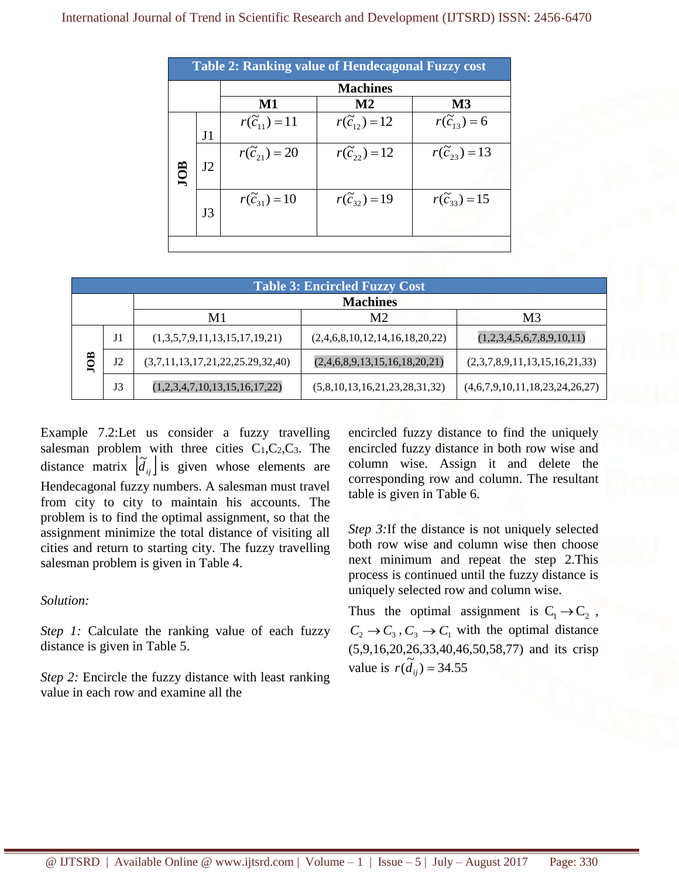#### International Journal of Trend in Scientific Research and Development (IJTSRD) ISSN: 2456-6470

| <b>Table 2: Ranking value of Hendecagonal Fuzzy cost</b> |                |                          |                            |                           |
|----------------------------------------------------------|----------------|--------------------------|----------------------------|---------------------------|
| <b>Machines</b>                                          |                |                          |                            |                           |
|                                                          |                | M1                       | $\mathbf{M}2$              | M3                        |
|                                                          | J <sub>1</sub> | $r(\tilde{c}_{11}) = 11$ | $r(\tilde{c}_{12}) = 12$   | $r(\widetilde{c}_{13})=6$ |
| ≋                                                        | J2             | $r(\tilde{c}_{21}) = 20$ | $r(\widetilde{c}_{22})=12$ | $r(\tilde{c}_{23}) = 13$  |
|                                                          | J3             | $r(\tilde{c}_{31}) = 10$ | $r(\widetilde{c}_{32})=19$ | $r(\tilde{c}_{33}) = 15$  |
|                                                          |                |                          |                            |                           |

| <b>Table 3: Encircled Fuzzy Cost</b>   |    |                                  |                                |                                |  |
|----------------------------------------|----|----------------------------------|--------------------------------|--------------------------------|--|
| <b>Machines</b>                        |    |                                  |                                |                                |  |
| M1<br>M <sub>2</sub><br>M <sub>3</sub> |    |                                  |                                |                                |  |
| JOB                                    | J1 | (1,3,5,7,9,11,13,15,17,19,21)    | (2,4,6,8,10,12,14,16,18,20,22) | (1,2,3,4,5,6,7,8,9,10,11)      |  |
|                                        | J2 | (3,7,11,13,17,21,22,25.29,32,40) | (2,4,6,8,9,13,15,16,18,20,21)  | (2,3,7,8,9,11,13,15,16,21,33)  |  |
|                                        | J3 | (1,2,3,4,7,10,13,15,16,17,22)    | (5,8,10,13,16,21,23,28,31,32)  | (4,6,7,9,10,11,18,23,24,26,27) |  |

Example 7.2:Let us consider a fuzzy travelling salesman problem with three cities  $C_1, C_2, C_3$ . The distance matrix  $\left[\tilde{d}_{ij}\right]$  is given whose elements are Hendecagonal fuzzy numbers. A salesman must travel from city to city to maintain his accounts. The problem is to find the optimal assignment, so that the assignment minimize the total distance of visiting all cities and return to starting city. The fuzzy travelling salesman problem is given in Table 4.

### *Solution:*

*Step 1:* Calculate the ranking value of each fuzzy distance is given in Table 5.

*Step 2:* Encircle the fuzzy distance with least ranking value in each row and examine all the

encircled fuzzy distance to find the uniquely encircled fuzzy distance in both row wise and column wise. Assign it and delete the corresponding row and column. The resultant table is given in Table 6.

*Step 3:*If the distance is not uniquely selected both row wise and column wise then choose next minimum and repeat the step 2.This process is continued until the fuzzy distance is uniquely selected row and column wise.

Thus the optimal assignment is  $C_1 \rightarrow C_2$ ,  $C_2 \rightarrow C_3$ ,  $C_3 \rightarrow C_1$  with the optimal distance (5,9,16,20,26,33,40,46,50,58,77) and its crisp value is  $r(\tilde{d}_{ij}) = 34.55$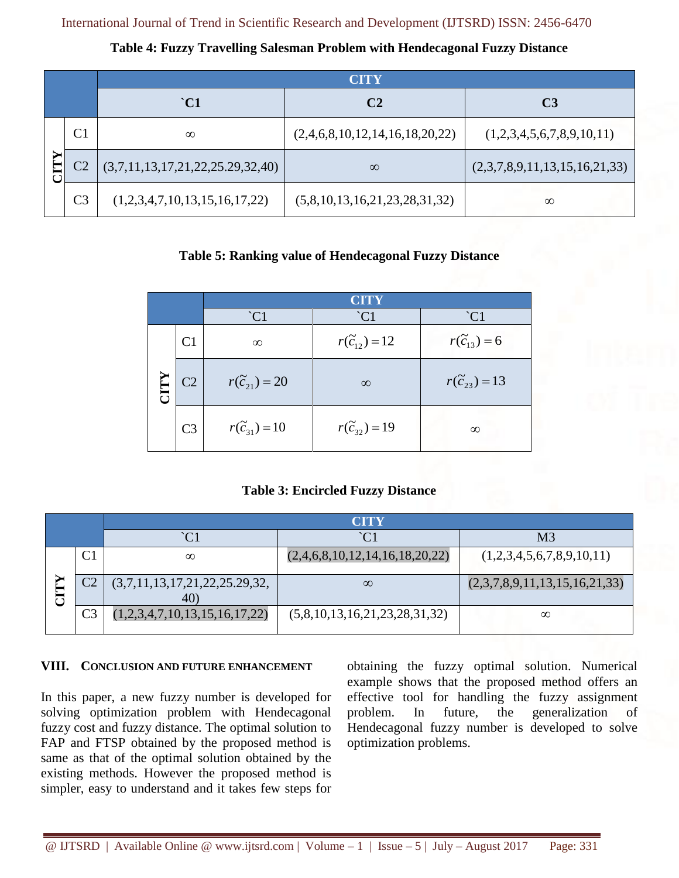**Table 4: Fuzzy Travelling Salesman Problem with Hendecagonal Fuzzy Distance**

|  |                | <b>CITY</b>                      |                                |                               |  |  |
|--|----------------|----------------------------------|--------------------------------|-------------------------------|--|--|
|  |                | $\degree$ C1                     | C <sub>2</sub>                 | C <sub>3</sub>                |  |  |
|  | C <sub>1</sub> | $\infty$                         | (2,4,6,8,10,12,14,16,18,20,22) | (1,2,3,4,5,6,7,8,9,10,11)     |  |  |
|  |                | (3,7,11,13,17,21,22,25.29,32,40) | $\infty$                       | (2,3,7,8,9,11,13,15,16,21,33) |  |  |
|  | C <sub>3</sub> | (1,2,3,4,7,10,13,15,16,17,22)    | (5,8,10,13,16,21,23,28,31,32)  | $\infty$                      |  |  |

# **Table 5: Ranking value of Hendecagonal Fuzzy Distance**

|  |                |                          | CITY                     |                          |  |
|--|----------------|--------------------------|--------------------------|--------------------------|--|
|  |                | $\widetilde{C}1$         | $\overline{C1}$          | $\overline{C1}$          |  |
|  | C <sub>1</sub> | $\infty$                 | $r(\tilde{c}_{12}) = 12$ | $r(\tilde{c}_{13}) = 6$  |  |
|  | C <sub>2</sub> | $r(\tilde{c}_{21}) = 20$ | $\infty$                 | $r(\tilde{c}_{23}) = 13$ |  |
|  | C <sub>3</sub> | $r(\tilde{c}_{31}) = 10$ | $r(\tilde{c}_{32}) = 19$ | $\infty$                 |  |

# **Table 3: Encircled Fuzzy Distance**

|                | CITY                                 |                                |                               |  |
|----------------|--------------------------------------|--------------------------------|-------------------------------|--|
|                | $\hat{C}1$                           | $\hat{C}1$                     | M3                            |  |
|                | $\infty$                             | (2,4,6,8,10,12,14,16,18,20,22) | (1,2,3,4,5,6,7,8,9,10,11)     |  |
|                | (3,7,11,13,17,21,22,25.29,32,<br>40) | $\infty$                       | (2,3,7,8,9,11,13,15,16,21,33) |  |
| C <sub>3</sub> | (1,2,3,4,7,10,13,15,16,17,22)        | (5,8,10,13,16,21,23,28,31,32)  | $\infty$                      |  |

### **VIII. CONCLUSION AND FUTURE ENHANCEMENT**

In this paper, a new fuzzy number is developed for solving optimization problem with Hendecagonal fuzzy cost and fuzzy distance. The optimal solution to FAP and FTSP obtained by the proposed method is same as that of the optimal solution obtained by the existing methods. However the proposed method is simpler, easy to understand and it takes few steps for

obtaining the fuzzy optimal solution. Numerical example shows that the proposed method offers an effective tool for handling the fuzzy assignment problem. In future, the generalization of Hendecagonal fuzzy number is developed to solve optimization problems.